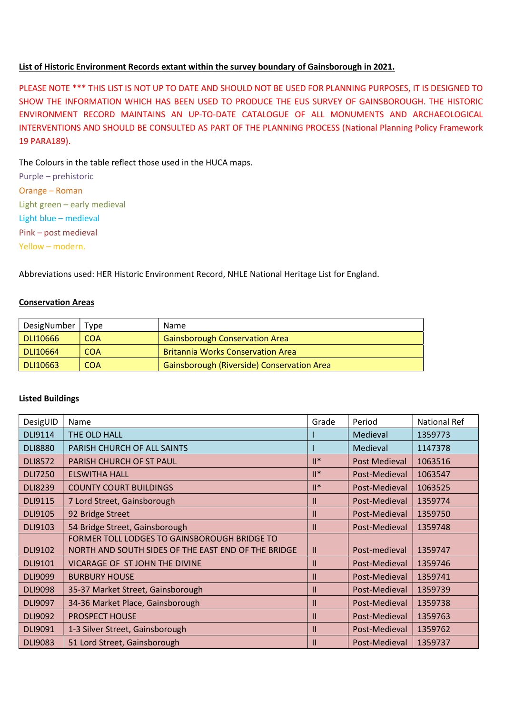## List of Historic Environment Records extant within the survey boundary of Gainsborough in 2021.

PLEASE NOTE \*\*\* THIS LIST IS NOT UP TO DATE AND SHOULD NOT BE USED FOR PLANNING PURPOSES, IT IS DESIGNED TO SHOW THE INFORMATION WHICH HAS BEEN USED TO PRODUCE THE EUS SURVEY OF GAINSBOROUGH. THE HISTORIC ENVIRONMENT RECORD MAINTAINS AN UP-TO-DATE CATALOGUE OF ALL MONUMENTS AND ARCHAEOLOGICAL INTERVENTIONS AND SHOULD BE CONSULTED AS PART OF THE PLANNING PROCESS (National Planning Policy Framework 19 PARA189).

The Colours in the table reflect those used in the HUCA maps.

Purple – prehistoric Orange – Roman Light green – early medieval Light blue – medieval Pink – post medieval Yellow – modern.

Abbreviations used: HER Historic Environment Record, NHLE National Heritage List for England.

## Conservation Areas

| DesigNumber | Type             | <b>Name</b>                                       |
|-------------|------------------|---------------------------------------------------|
| DLI10666    | COA <sup>1</sup> | <b>Gainsborough Conservation Area</b>             |
| DLI10664    | <b>COA</b>       | <b>Britannia Works Conservation Area</b>          |
| DLI10663    | <b>COA</b>       | <b>Gainsborough (Riverside) Conservation Area</b> |

## Listed Buildings

| DesigUID       | Name                                                | Grade          | Period        | National Ref |
|----------------|-----------------------------------------------------|----------------|---------------|--------------|
| DLI9114        | THE OLD HALL                                        |                | Medieval      | 1359773      |
| <b>DLI8880</b> | PARISH CHURCH OF ALL SAINTS                         |                | Medieval      | 1147378      |
| <b>DLI8572</b> | PARISH CHURCH OF ST PAUL                            | $  $ *         | Post Medieval | 1063516      |
| <b>DLI7250</b> | <b>ELSWITHA HALL</b>                                | $\mathbb{I}^*$ | Post-Medieval | 1063547      |
| <b>DLI8239</b> | <b>COUNTY COURT BUILDINGS</b>                       | $\mathbb{I}^*$ | Post-Medieval | 1063525      |
| <b>DLI9115</b> | 7 Lord Street, Gainsborough                         | $\mathbf{II}$  | Post-Medieval | 1359774      |
| <b>DLI9105</b> | 92 Bridge Street                                    | $\mathbf{H}$   | Post-Medieval | 1359750      |
| DLI9103        | 54 Bridge Street, Gainsborough                      | $\mathbf{H}$   | Post-Medieval | 1359748      |
|                | FORMER TOLL LODGES TO GAINSBOROUGH BRIDGE TO        |                |               |              |
| <b>DLI9102</b> | NORTH AND SOUTH SIDES OF THE EAST END OF THE BRIDGE | $\mathbf{II}$  | Post-medieval | 1359747      |
| <b>DLI9101</b> | VICARAGE OF ST JOHN THE DIVINE                      | $\mathbf{H}$   | Post-Medieval | 1359746      |
| <b>DLI9099</b> | <b>BURBURY HOUSE</b>                                | $\mathbf{H}$   | Post-Medieval | 1359741      |
| <b>DLI9098</b> | 35-37 Market Street, Gainsborough                   | $\mathbf{H}$   | Post-Medieval | 1359739      |
| <b>DLI9097</b> | 34-36 Market Place, Gainsborough                    | $\mathbf{II}$  | Post-Medieval | 1359738      |
| <b>DLI9092</b> | <b>PROSPECT HOUSE</b>                               | $\mathbf{II}$  | Post-Medieval | 1359763      |
| DLI9091        | 1-3 Silver Street, Gainsborough                     | $\mathbf{H}$   | Post-Medieval | 1359762      |
| <b>DLI9083</b> | 51 Lord Street, Gainsborough                        | Ш              | Post-Medieval | 1359737      |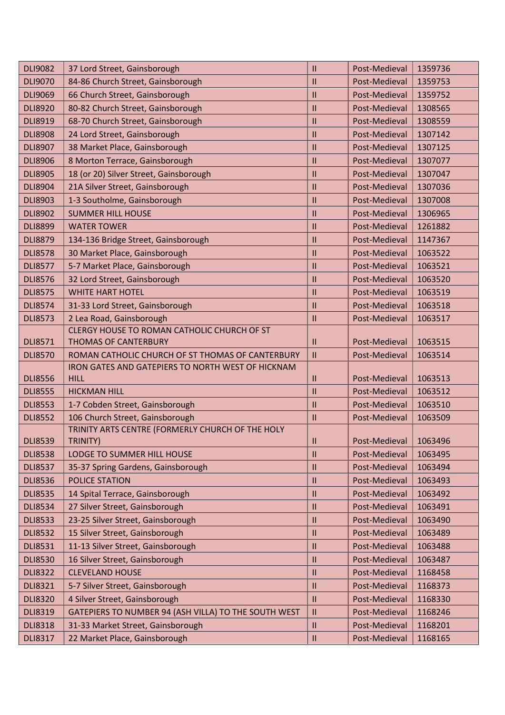| <b>DLI9082</b> | 37 Lord Street, Gainsborough                                     | $\mathbf{H}$               | Post-Medieval           | 1359736 |
|----------------|------------------------------------------------------------------|----------------------------|-------------------------|---------|
| <b>DLI9070</b> | 84-86 Church Street, Gainsborough                                |                            | Post-Medieval           | 1359753 |
| <b>DLI9069</b> | 66 Church Street, Gainsborough                                   |                            | Post-Medieval           | 1359752 |
| <b>DLI8920</b> | 80-82 Church Street, Gainsborough                                | $\mathbf{II}$              | Post-Medieval           | 1308565 |
| <b>DLI8919</b> | 68-70 Church Street, Gainsborough                                | $\mathbf{H}$               | Post-Medieval           | 1308559 |
| <b>DLI8908</b> | 24 Lord Street, Gainsborough                                     | $\mathbf{I}$               | Post-Medieval           | 1307142 |
| <b>DLI8907</b> | 38 Market Place, Gainsborough                                    | $\mathbf{II}$              | Post-Medieval           | 1307125 |
| <b>DLI8906</b> | 8 Morton Terrace, Gainsborough                                   | $\mathbf{I}$               | Post-Medieval           | 1307077 |
| <b>DLI8905</b> | 18 (or 20) Silver Street, Gainsborough                           | $\mathbf{I}$               | Post-Medieval           | 1307047 |
| <b>DLI8904</b> | 21A Silver Street, Gainsborough                                  | $\mathbf{I}$               | Post-Medieval           | 1307036 |
| <b>DLI8903</b> | 1-3 Southolme, Gainsborough                                      | $\mathbf{H}$               | Post-Medieval           | 1307008 |
| <b>DLI8902</b> | <b>SUMMER HILL HOUSE</b>                                         | $\mathbf{I}$               | Post-Medieval           | 1306965 |
| <b>DLI8899</b> | <b>WATER TOWER</b>                                               | $\mathbf{H}$               | Post-Medieval           | 1261882 |
| <b>DLI8879</b> | 134-136 Bridge Street, Gainsborough                              | $\mathbf{I}$               | Post-Medieval           | 1147367 |
| <b>DLI8578</b> | 30 Market Place, Gainsborough                                    | $\mathbf{I}$               | Post-Medieval           | 1063522 |
| <b>DLI8577</b> | 5-7 Market Place, Gainsborough                                   | $\mathbf{I}$               | Post-Medieval           | 1063521 |
| <b>DLI8576</b> | 32 Lord Street, Gainsborough                                     | $\mathbf{H}$               | Post-Medieval           | 1063520 |
| <b>DLI8575</b> | <b>WHITE HART HOTEL</b>                                          | $\mathbf{H}$               | Post-Medieval           | 1063519 |
| <b>DLI8574</b> | 31-33 Lord Street, Gainsborough                                  | $\mathbf{I}$               | Post-Medieval           | 1063518 |
| <b>DLI8573</b> | 2 Lea Road, Gainsborough                                         | $\mathbf{H}$               | Post-Medieval           | 1063517 |
|                | CLERGY HOUSE TO ROMAN CATHOLIC CHURCH OF ST                      |                            |                         |         |
| <b>DLI8571</b> | <b>THOMAS OF CANTERBURY</b>                                      | $\mathbf{I}$               | Post-Medieval           | 1063515 |
| <b>DLI8570</b> | ROMAN CATHOLIC CHURCH OF ST THOMAS OF CANTERBURY                 | $\ensuremath{\mathsf{II}}$ | Post-Medieval           | 1063514 |
| <b>DLI8556</b> | IRON GATES AND GATEPIERS TO NORTH WEST OF HICKNAM<br><b>HILL</b> | $\mathbf{I}$               | Post-Medieval           | 1063513 |
| <b>DLI8555</b> | <b>HICKMAN HILL</b>                                              | $\mathbf{H}$               | Post-Medieval           | 1063512 |
| <b>DLI8553</b> | 1-7 Cobden Street, Gainsborough                                  | $\mathbf{H}$               | Post-Medieval           | 1063510 |
| <b>DLI8552</b> | 106 Church Street, Gainsborough                                  | $\mathbf{I}$               | Post-Medieval           | 1063509 |
|                | TRINITY ARTS CENTRE (FORMERLY CHURCH OF THE HOLY                 |                            |                         |         |
| <b>DLI8539</b> | TRINITY)                                                         | $\ensuremath{\mathsf{II}}$ | Post-Medieval   1063496 |         |
| <b>DLI8538</b> | LODGE TO SUMMER HILL HOUSE                                       | $\mathbf{H}$               | Post-Medieval           | 1063495 |
| <b>DLI8537</b> | 35-37 Spring Gardens, Gainsborough                               | $\ensuremath{\mathsf{II}}$ | Post-Medieval           | 1063494 |
| <b>DLI8536</b> | <b>POLICE STATION</b>                                            | $\mathsf{II}$              | Post-Medieval           | 1063493 |
| <b>DLI8535</b> | 14 Spital Terrace, Gainsborough                                  | $\mathbf{H}$               | Post-Medieval           | 1063492 |
| <b>DLI8534</b> | 27 Silver Street, Gainsborough                                   | $\mathbf{  }$              | Post-Medieval           | 1063491 |
| <b>DLI8533</b> | 23-25 Silver Street, Gainsborough                                | Ш                          | Post-Medieval           | 1063490 |
| <b>DLI8532</b> | 15 Silver Street, Gainsborough                                   | $\mathbf{  }$              | Post-Medieval           | 1063489 |
| <b>DLI8531</b> | 11-13 Silver Street, Gainsborough                                | $\mathbf{II}$              | Post-Medieval           | 1063488 |
| <b>DLI8530</b> | 16 Silver Street, Gainsborough                                   | $\mathbf{I}$               | Post-Medieval           | 1063487 |
| <b>DLI8322</b> | <b>CLEVELAND HOUSE</b>                                           | $\mathbf{I}$               | Post-Medieval           | 1168458 |
| <b>DLI8321</b> | 5-7 Silver Street, Gainsborough                                  | Ш                          | Post-Medieval           | 1168373 |
| <b>DLI8320</b> | 4 Silver Street, Gainsborough                                    | $\mathbf{  }$              | Post-Medieval           | 1168330 |
| <b>DLI8319</b> | GATEPIERS TO NUMBER 94 (ASH VILLA) TO THE SOUTH WEST             | Ш                          | Post-Medieval           | 1168246 |
| <b>DLI8318</b> | 31-33 Market Street, Gainsborough                                | $\ensuremath{\mathsf{II}}$ | Post-Medieval           | 1168201 |
| <b>DLI8317</b> | 22 Market Place, Gainsborough                                    | $\mathbf{I}$               | Post-Medieval           | 1168165 |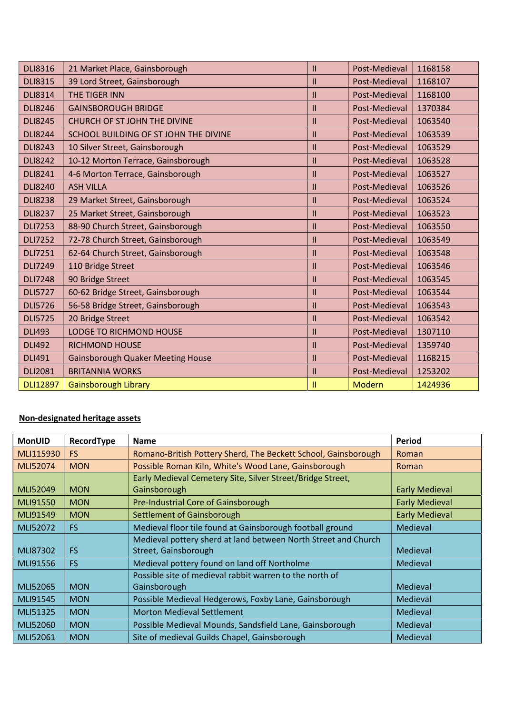| <b>DLI8316</b>  | 21 Market Place, Gainsborough            | $\mathbf{H}$  | Post-Medieval | 1168158 |
|-----------------|------------------------------------------|---------------|---------------|---------|
| <b>DLI8315</b>  | 39 Lord Street, Gainsborough             |               | Post-Medieval | 1168107 |
| <b>DLI8314</b>  | <b>THE TIGER INN</b>                     | $\mathsf{II}$ | Post-Medieval | 1168100 |
| <b>DLI8246</b>  | <b>GAINSBOROUGH BRIDGE</b>               | Ш             | Post-Medieval | 1370384 |
| <b>DLI8245</b>  | <b>CHURCH OF ST JOHN THE DIVINE</b>      | Ш             | Post-Medieval | 1063540 |
| <b>DLI8244</b>  | SCHOOL BUILDING OF ST JOHN THE DIVINE    | Ш             | Post-Medieval | 1063539 |
| <b>DLI8243</b>  | 10 Silver Street, Gainsborough           | Ш             | Post-Medieval | 1063529 |
| <b>DLI8242</b>  | 10-12 Morton Terrace, Gainsborough       | Ш             | Post-Medieval | 1063528 |
| <b>DLI8241</b>  | 4-6 Morton Terrace, Gainsborough         | $\mathsf{II}$ | Post-Medieval | 1063527 |
| <b>DLI8240</b>  | <b>ASH VILLA</b>                         | Ш             | Post-Medieval | 1063526 |
| <b>DLI8238</b>  | 29 Market Street, Gainsborough           | Ш             | Post-Medieval | 1063524 |
| <b>DLI8237</b>  | 25 Market Street, Gainsborough           | Ш             | Post-Medieval | 1063523 |
| <b>DLI7253</b>  | 88-90 Church Street, Gainsborough        | Ш             | Post-Medieval | 1063550 |
| <b>DLI7252</b>  | 72-78 Church Street, Gainsborough        | Ш             | Post-Medieval | 1063549 |
| <b>DLI7251</b>  | 62-64 Church Street, Gainsborough        | $\mathsf{II}$ | Post-Medieval | 1063548 |
| <b>DLI7249</b>  | 110 Bridge Street                        | $\mathbf{I}$  | Post-Medieval | 1063546 |
| <b>DLI7248</b>  | 90 Bridge Street                         | Ш             | Post-Medieval | 1063545 |
| <b>DLI5727</b>  | 60-62 Bridge Street, Gainsborough        | Ш             | Post-Medieval | 1063544 |
| <b>DLI5726</b>  | 56-58 Bridge Street, Gainsborough        | $\mathsf{I}$  | Post-Medieval | 1063543 |
| <b>DLI5725</b>  | 20 Bridge Street                         | Ш             | Post-Medieval | 1063542 |
| <b>DLI493</b>   | LODGE TO RICHMOND HOUSE                  | $\mathbf{II}$ | Post-Medieval | 1307110 |
| <b>DLI492</b>   | <b>RICHMOND HOUSE</b>                    | $\mathsf{II}$ | Post-Medieval | 1359740 |
| <b>DLI491</b>   | <b>Gainsborough Quaker Meeting House</b> | $\mathsf{II}$ | Post-Medieval | 1168215 |
| <b>DLI2081</b>  | <b>BRITANNIA WORKS</b>                   | $\mathsf{II}$ | Post-Medieval | 1253202 |
| <b>DLI12897</b> | <b>Gainsborough Library</b>              | 11            | Modern        | 1424936 |

## Non-designated heritage assets

| <b>MonUID</b> | RecordType | <b>Name</b>                                                    | Period                |
|---------------|------------|----------------------------------------------------------------|-----------------------|
| MLI115930     | FS.        | Romano-British Pottery Sherd, The Beckett School, Gainsborough | Roman                 |
| MLI52074      | <b>MON</b> | Possible Roman Kiln, White's Wood Lane, Gainsborough           | Roman                 |
|               |            | Early Medieval Cemetery Site, Silver Street/Bridge Street,     |                       |
| MLI52049      | <b>MON</b> | Gainsborough                                                   | <b>Early Medieval</b> |
| MLI91550      | <b>MON</b> | Pre-Industrial Core of Gainsborough                            | <b>Early Medieval</b> |
| MLI91549      | <b>MON</b> | Settlement of Gainsborough                                     | <b>Early Medieval</b> |
| MLI52072      | FS.        | Medieval floor tile found at Gainsborough football ground      | Medieval              |
|               |            | Medieval pottery sherd at land between North Street and Church |                       |
| MLI87302      | <b>FS</b>  | Street, Gainsborough                                           | Medieval              |
| MLI91556      | <b>FS</b>  | Medieval pottery found on land off Northolme                   | Medieval              |
|               |            | Possible site of medieval rabbit warren to the north of        |                       |
| MLI52065      | <b>MON</b> | Gainsborough                                                   | Medieval              |
| MLI91545      | <b>MON</b> | Possible Medieval Hedgerows, Foxby Lane, Gainsborough          | Medieval              |
| MLI51325      | <b>MON</b> | <b>Morton Medieval Settlement</b>                              | Medieval              |
| MLI52060      | <b>MON</b> | Possible Medieval Mounds, Sandsfield Lane, Gainsborough        | Medieval              |
| MLI52061      | <b>MON</b> | Site of medieval Guilds Chapel, Gainsborough                   | Medieval              |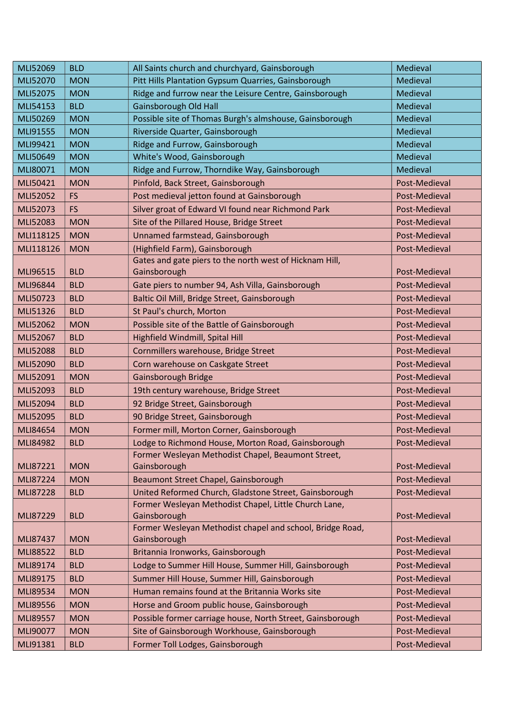| MLI52069        | <b>BLD</b> | All Saints church and churchyard, Gainsborough             | Medieval      |
|-----------------|------------|------------------------------------------------------------|---------------|
| MLI52070        | <b>MON</b> | Pitt Hills Plantation Gypsum Quarries, Gainsborough        | Medieval      |
| MLI52075        | <b>MON</b> | Ridge and furrow near the Leisure Centre, Gainsborough     | Medieval      |
| MLI54153        | <b>BLD</b> | Gainsborough Old Hall                                      | Medieval      |
| MLI50269        | <b>MON</b> | Possible site of Thomas Burgh's almshouse, Gainsborough    | Medieval      |
| MLI91555        | <b>MON</b> | Riverside Quarter, Gainsborough                            | Medieval      |
| MLI99421        | <b>MON</b> | Ridge and Furrow, Gainsborough                             | Medieval      |
| MLI50649        | <b>MON</b> | White's Wood, Gainsborough                                 | Medieval      |
| MLI80071        | <b>MON</b> | Ridge and Furrow, Thorndike Way, Gainsborough              | Medieval      |
| MLI50421        | <b>MON</b> | Pinfold, Back Street, Gainsborough                         | Post-Medieval |
| MLI52052        | <b>FS</b>  | Post medieval jetton found at Gainsborough                 | Post-Medieval |
| MLI52073        | <b>FS</b>  | Silver groat of Edward VI found near Richmond Park         | Post-Medieval |
| MLI52083        | <b>MON</b> | Site of the Pillared House, Bridge Street                  | Post-Medieval |
| MLI118125       | <b>MON</b> | Unnamed farmstead, Gainsborough                            | Post-Medieval |
| MLI118126       | <b>MON</b> | (Highfield Farm), Gainsborough                             | Post-Medieval |
|                 |            | Gates and gate piers to the north west of Hicknam Hill,    |               |
| MLI96515        | <b>BLD</b> | Gainsborough                                               | Post-Medieval |
| MLI96844        | <b>BLD</b> | Gate piers to number 94, Ash Villa, Gainsborough           | Post-Medieval |
| MLI50723        | <b>BLD</b> | Baltic Oil Mill, Bridge Street, Gainsborough               | Post-Medieval |
| MLI51326        | <b>BLD</b> | St Paul's church, Morton                                   | Post-Medieval |
| MLI52062        | <b>MON</b> | Possible site of the Battle of Gainsborough                | Post-Medieval |
| MLI52067        | <b>BLD</b> | Highfield Windmill, Spital Hill                            | Post-Medieval |
| <b>MLI52088</b> | <b>BLD</b> | Cornmillers warehouse, Bridge Street                       | Post-Medieval |
| MLI52090        | <b>BLD</b> | Corn warehouse on Caskgate Street                          | Post-Medieval |
| MLI52091        | <b>MON</b> | Gainsborough Bridge                                        | Post-Medieval |
| MLI52093        | <b>BLD</b> | 19th century warehouse, Bridge Street                      | Post-Medieval |
| MLI52094        | <b>BLD</b> | 92 Bridge Street, Gainsborough                             | Post-Medieval |
| MLI52095        | <b>BLD</b> | 90 Bridge Street, Gainsborough                             | Post-Medieval |
| MLI84654        | <b>MON</b> | Former mill, Morton Corner, Gainsborough                   | Post-Medieval |
| MLI84982        | <b>BLD</b> | Lodge to Richmond House, Morton Road, Gainsborough         | Post-Medieval |
|                 |            | Former Wesleyan Methodist Chapel, Beaumont Street,         |               |
| MLI87221        | <b>MON</b> | Gainsborough                                               | Post-Medieval |
| MLI87224        | <b>MON</b> | Beaumont Street Chapel, Gainsborough                       | Post-Medieval |
| MLI87228        | <b>BLD</b> | United Reformed Church, Gladstone Street, Gainsborough     | Post-Medieval |
|                 |            | Former Wesleyan Methodist Chapel, Little Church Lane,      |               |
| MLI87229        | <b>BLD</b> | Gainsborough                                               | Post-Medieval |
| MLI87437        | <b>MON</b> | Former Wesleyan Methodist chapel and school, Bridge Road,  | Post-Medieval |
| MLI88522        |            | Gainsborough                                               | Post-Medieval |
|                 | <b>BLD</b> | Britannia Ironworks, Gainsborough                          |               |
| MLI89174        | <b>BLD</b> | Lodge to Summer Hill House, Summer Hill, Gainsborough      | Post-Medieval |
| MLI89175        | <b>BLD</b> | Summer Hill House, Summer Hill, Gainsborough               | Post-Medieval |
| MLI89534        | <b>MON</b> | Human remains found at the Britannia Works site            | Post-Medieval |
| MLI89556        | <b>MON</b> | Horse and Groom public house, Gainsborough                 | Post-Medieval |
| MLI89557        | <b>MON</b> | Possible former carriage house, North Street, Gainsborough | Post-Medieval |
| MLI90077        | <b>MON</b> | Site of Gainsborough Workhouse, Gainsborough               | Post-Medieval |
| MLI91381        | <b>BLD</b> | Former Toll Lodges, Gainsborough                           | Post-Medieval |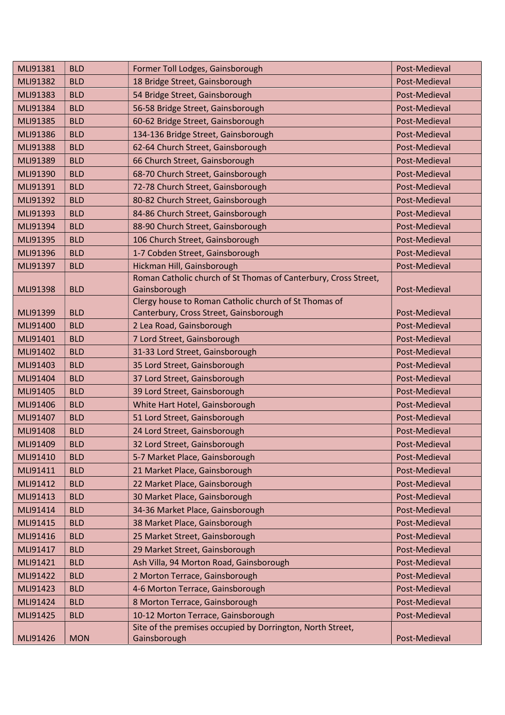| MLI91381 | <b>BLD</b> | Former Toll Lodges, Gainsborough                                | Post-Medieval |
|----------|------------|-----------------------------------------------------------------|---------------|
| MLI91382 | <b>BLD</b> | 18 Bridge Street, Gainsborough                                  | Post-Medieval |
| MLI91383 | <b>BLD</b> | 54 Bridge Street, Gainsborough                                  | Post-Medieval |
| MLI91384 | <b>BLD</b> | 56-58 Bridge Street, Gainsborough                               | Post-Medieval |
| MLI91385 | <b>BLD</b> | 60-62 Bridge Street, Gainsborough                               | Post-Medieval |
| MLI91386 | <b>BLD</b> | 134-136 Bridge Street, Gainsborough                             | Post-Medieval |
| MLI91388 | <b>BLD</b> | 62-64 Church Street, Gainsborough                               | Post-Medieval |
| MLI91389 | <b>BLD</b> | 66 Church Street, Gainsborough                                  | Post-Medieval |
| MLI91390 | <b>BLD</b> | 68-70 Church Street, Gainsborough                               | Post-Medieval |
| MLI91391 | <b>BLD</b> | 72-78 Church Street, Gainsborough                               | Post-Medieval |
| MLI91392 | <b>BLD</b> | 80-82 Church Street, Gainsborough                               | Post-Medieval |
| MLI91393 | <b>BLD</b> | 84-86 Church Street, Gainsborough                               | Post-Medieval |
| MLI91394 | <b>BLD</b> | 88-90 Church Street, Gainsborough                               | Post-Medieval |
| MLI91395 | <b>BLD</b> | 106 Church Street, Gainsborough                                 | Post-Medieval |
| MLI91396 | <b>BLD</b> | 1-7 Cobden Street, Gainsborough                                 | Post-Medieval |
| MLI91397 | <b>BLD</b> | Hickman Hill, Gainsborough                                      | Post-Medieval |
|          |            | Roman Catholic church of St Thomas of Canterbury, Cross Street, |               |
| MLI91398 | <b>BLD</b> | Gainsborough                                                    | Post-Medieval |
|          |            | Clergy house to Roman Catholic church of St Thomas of           |               |
| MLI91399 | <b>BLD</b> | Canterbury, Cross Street, Gainsborough                          | Post-Medieval |
| MLI91400 | <b>BLD</b> | 2 Lea Road, Gainsborough                                        | Post-Medieval |
| MLI91401 | <b>BLD</b> | 7 Lord Street, Gainsborough                                     | Post-Medieval |
| MLI91402 | <b>BLD</b> | 31-33 Lord Street, Gainsborough                                 | Post-Medieval |
| MLI91403 | <b>BLD</b> | 35 Lord Street, Gainsborough                                    | Post-Medieval |
| MLI91404 | <b>BLD</b> | 37 Lord Street, Gainsborough                                    | Post-Medieval |
| MLI91405 | <b>BLD</b> | 39 Lord Street, Gainsborough                                    | Post-Medieval |
| MLI91406 | <b>BLD</b> | White Hart Hotel, Gainsborough                                  | Post-Medieval |
| MLI91407 | <b>BLD</b> | 51 Lord Street, Gainsborough                                    | Post-Medieval |
| MLI91408 | <b>BLD</b> | 24 Lord Street, Gainsborough                                    | Post-Medieval |
| MLI91409 | <b>BLD</b> | 32 Lord Street, Gainsborough                                    | Post-Medieval |
| MLI91410 | <b>BLD</b> | 5-7 Market Place, Gainsborough                                  | Post-Medieval |
| MLI91411 | <b>BLD</b> | 21 Market Place, Gainsborough                                   | Post-Medieval |
| MLI91412 | <b>BLD</b> | 22 Market Place, Gainsborough                                   | Post-Medieval |
| MLI91413 | <b>BLD</b> | 30 Market Place, Gainsborough                                   | Post-Medieval |
| MLI91414 | <b>BLD</b> | 34-36 Market Place, Gainsborough                                | Post-Medieval |
| MLI91415 | <b>BLD</b> | 38 Market Place, Gainsborough                                   | Post-Medieval |
| MLI91416 | <b>BLD</b> | 25 Market Street, Gainsborough                                  | Post-Medieval |
| MLI91417 | <b>BLD</b> | 29 Market Street, Gainsborough                                  | Post-Medieval |
| MLI91421 | <b>BLD</b> | Ash Villa, 94 Morton Road, Gainsborough                         | Post-Medieval |
| MLI91422 | <b>BLD</b> | 2 Morton Terrace, Gainsborough                                  | Post-Medieval |
| MLI91423 | <b>BLD</b> | 4-6 Morton Terrace, Gainsborough                                | Post-Medieval |
| MLI91424 | <b>BLD</b> | 8 Morton Terrace, Gainsborough                                  | Post-Medieval |
| MLI91425 | <b>BLD</b> | 10-12 Morton Terrace, Gainsborough                              | Post-Medieval |
|          |            | Site of the premises occupied by Dorrington, North Street,      |               |
| MLI91426 | <b>MON</b> | Gainsborough                                                    | Post-Medieval |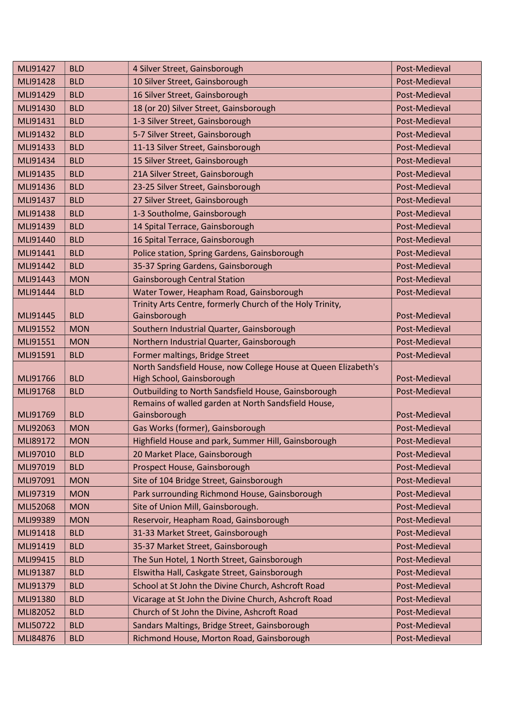| MLI91427        | <b>BLD</b> | 4 Silver Street, Gainsborough                                                               | Post-Medieval |
|-----------------|------------|---------------------------------------------------------------------------------------------|---------------|
| MLI91428        | <b>BLD</b> | 10 Silver Street, Gainsborough                                                              | Post-Medieval |
| MLI91429        | <b>BLD</b> | 16 Silver Street, Gainsborough                                                              | Post-Medieval |
| MLI91430        | <b>BLD</b> | 18 (or 20) Silver Street, Gainsborough                                                      | Post-Medieval |
| MLI91431        | <b>BLD</b> | 1-3 Silver Street, Gainsborough                                                             | Post-Medieval |
| MLI91432        | <b>BLD</b> | 5-7 Silver Street, Gainsborough                                                             | Post-Medieval |
| MLI91433        | <b>BLD</b> | 11-13 Silver Street, Gainsborough                                                           | Post-Medieval |
| MLI91434        | <b>BLD</b> | 15 Silver Street, Gainsborough                                                              | Post-Medieval |
| MLI91435        | <b>BLD</b> | 21A Silver Street, Gainsborough                                                             | Post-Medieval |
| MLI91436        | <b>BLD</b> | 23-25 Silver Street, Gainsborough                                                           | Post-Medieval |
| MLI91437        | <b>BLD</b> | 27 Silver Street, Gainsborough                                                              | Post-Medieval |
| <b>MLI91438</b> | <b>BLD</b> | 1-3 Southolme, Gainsborough                                                                 | Post-Medieval |
| MLI91439        | <b>BLD</b> | 14 Spital Terrace, Gainsborough                                                             | Post-Medieval |
| MLI91440        | <b>BLD</b> | 16 Spital Terrace, Gainsborough                                                             | Post-Medieval |
| MLI91441        | <b>BLD</b> | Police station, Spring Gardens, Gainsborough                                                | Post-Medieval |
| MLI91442        | <b>BLD</b> | 35-37 Spring Gardens, Gainsborough                                                          | Post-Medieval |
| MLI91443        | <b>MON</b> | <b>Gainsborough Central Station</b>                                                         | Post-Medieval |
| MLI91444        | <b>BLD</b> | Water Tower, Heapham Road, Gainsborough                                                     | Post-Medieval |
|                 |            | Trinity Arts Centre, formerly Church of the Holy Trinity,                                   |               |
| MLI91445        | <b>BLD</b> | Gainsborough                                                                                | Post-Medieval |
| MLI91552        | <b>MON</b> | Southern Industrial Quarter, Gainsborough                                                   | Post-Medieval |
| MLI91551        | <b>MON</b> | Northern Industrial Quarter, Gainsborough                                                   | Post-Medieval |
| MLI91591        | <b>BLD</b> | Former maltings, Bridge Street                                                              | Post-Medieval |
| MLI91766        | <b>BLD</b> | North Sandsfield House, now College House at Queen Elizabeth's<br>High School, Gainsborough | Post-Medieval |
| MLI91768        | <b>BLD</b> | Outbuilding to North Sandsfield House, Gainsborough                                         | Post-Medieval |
|                 |            | Remains of walled garden at North Sandsfield House,                                         |               |
| MLI91769        | <b>BLD</b> | Gainsborough                                                                                | Post-Medieval |
| MLI92063        | <b>MON</b> | Gas Works (former), Gainsborough                                                            | Post-Medieval |
| MLI89172        | <b>MON</b> | Highfield House and park, Summer Hill, Gainsborough                                         | Post-Medieval |
| MLI97010        | <b>BLD</b> | 20 Market Place, Gainsborough                                                               | Post-Medieval |
| MLI97019        | <b>BLD</b> | Prospect House, Gainsborough                                                                | Post-Medieval |
| MLI97091        | <b>MON</b> | Site of 104 Bridge Street, Gainsborough                                                     | Post-Medieval |
| MLI97319        | <b>MON</b> | Park surrounding Richmond House, Gainsborough                                               | Post-Medieval |
| MLI52068        | <b>MON</b> | Site of Union Mill, Gainsborough.                                                           | Post-Medieval |
| MLI99389        | <b>MON</b> | Reservoir, Heapham Road, Gainsborough                                                       | Post-Medieval |
| MLI91418        | <b>BLD</b> | 31-33 Market Street, Gainsborough                                                           | Post-Medieval |
| MLI91419        | <b>BLD</b> | 35-37 Market Street, Gainsborough                                                           | Post-Medieval |
| MLI99415        | <b>BLD</b> | The Sun Hotel, 1 North Street, Gainsborough                                                 | Post-Medieval |
| MLI91387        | <b>BLD</b> | Elswitha Hall, Caskgate Street, Gainsborough                                                | Post-Medieval |
| MLI91379        | <b>BLD</b> | School at St John the Divine Church, Ashcroft Road                                          | Post-Medieval |
| MLI91380        | <b>BLD</b> | Vicarage at St John the Divine Church, Ashcroft Road                                        | Post-Medieval |
| MLI82052        | <b>BLD</b> | Church of St John the Divine, Ashcroft Road                                                 | Post-Medieval |
| MLI50722        | <b>BLD</b> | Sandars Maltings, Bridge Street, Gainsborough                                               | Post-Medieval |
| MLI84876        | <b>BLD</b> | Richmond House, Morton Road, Gainsborough                                                   | Post-Medieval |